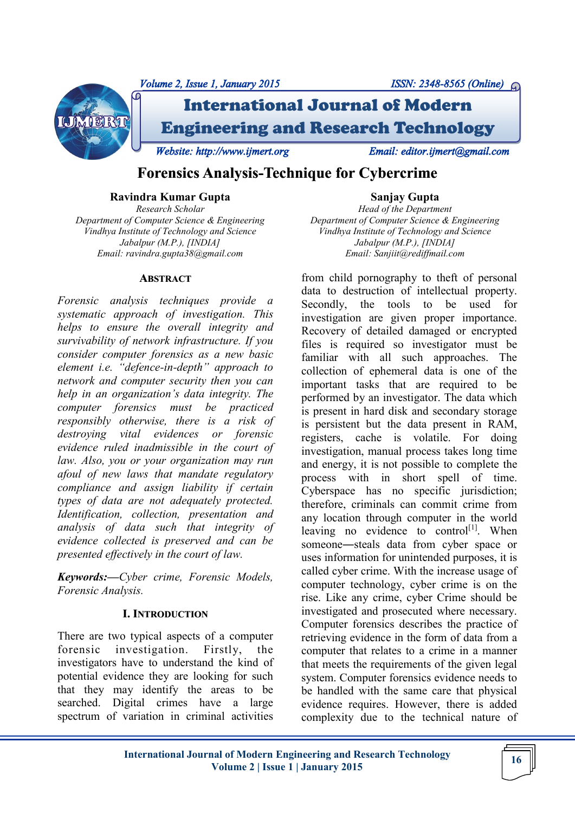

# **Forensics Analysis-Technique for Cybercrime**

#### **Ravindra Kumar Gupta**

*Research Scholar Department of Computer Science & Engineering Vindhya Institute of Technology and Science Jabalpur (M.P.), [INDIA] Email: ravindra.gupta38@gmail.com*

#### **ABSTRACT**

*Forensic analysis techniques provide a systematic approach of investigation. This helps to ensure the overall integrity and survivability of network infrastructure. If you consider computer forensics as a new basic element i.e. "defence-in-depth" approach to network and computer security then you can help in an organization's data integrity. The computer forensics must be practiced responsibly otherwise, there is a risk of destroying vital evidences or forensic evidence ruled inadmissible in the court of law. Also, you or your organization may run afoul of new laws that mandate regulatory compliance and assign liability if certain types of data are not adequately protected. Identification, collection, presentation and analysis of data such that integrity of evidence collected is preserved and can be presented effectively in the court of law.*

*Keywords:—Cyber crime, Forensic Models, Forensic Analysis.* 

#### **I. INTRODUCTION**

There are two typical aspects of a computer forensic investigation. Firstly, the investigators have to understand the kind of potential evidence they are looking for such that they may identify the areas to be searched. Digital crimes have a large spectrum of variation in criminal activities

**Sanjay Gupta** *Head of the Department Department of Computer Science & Engineering Vindhya Institute of Technology and Science Jabalpur (M.P.), [INDIA] Email: Sanjiit@rediffmail.com*

from child pornography to theft of personal data to destruction of intellectual property. Secondly, the tools to be used for investigation are given proper importance. Recovery of detailed damaged or encrypted files is required so investigator must be familiar with all such approaches. The collection of ephemeral data is one of the important tasks that are required to be performed by an investigator. The data which is present in hard disk and secondary storage is persistent but the data present in RAM, registers, cache is volatile. For doing investigation, manual process takes long time and energy, it is not possible to complete the process with in short spell of time. Cyberspace has no specific jurisdiction; therefore, criminals can commit crime from any location through computer in the world leaving no evidence to control<sup>[1]</sup>. When someone―steals data from cyber space or uses information for unintended purposes, it is called cyber crime. With the increase usage of computer technology, cyber crime is on the rise. Like any crime, cyber Crime should be investigated and prosecuted where necessary. Computer forensics describes the practice of retrieving evidence in the form of data from a computer that relates to a crime in a manner that meets the requirements of the given legal system. Computer forensics evidence needs to be handled with the same care that physical evidence requires. However, there is added complexity due to the technical nature of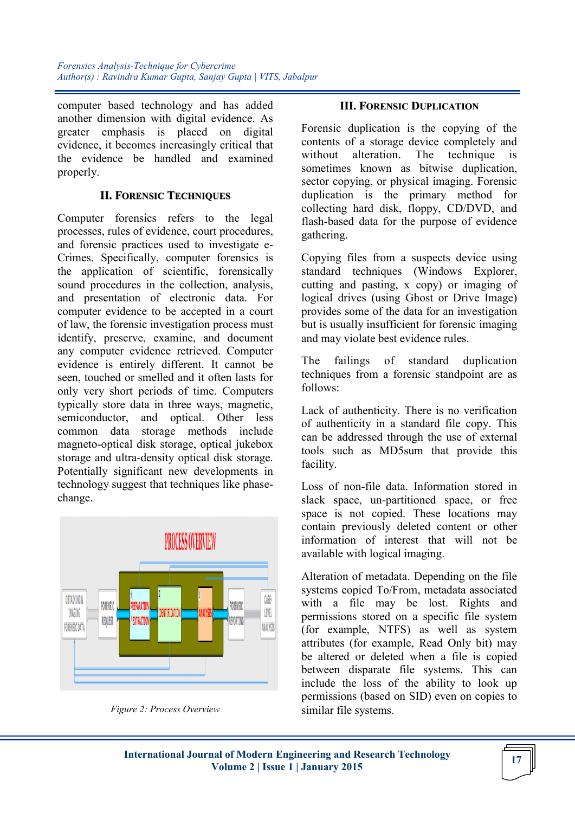computer based technology and has added another dimension with digital evidence. As greater emphasis is placed on digital evidence, it becomes increasingly critical that the evidence be handled and examined properly.

#### **II. FORENSIC TECHNIQUES**

Computer forensics refers to the legal processes, rules of evidence, court procedures, and forensic practices used to investigate e-Crimes. Specifically, computer forensics is the application of scientific, forensically sound procedures in the collection, analysis, and presentation of electronic data. For computer evidence to be accepted in a court of law, the forensic investigation process must identify, preserve, examine, and document any computer evidence retrieved. Computer evidence is entirely different. It cannot be seen, touched or smelled and it often lasts for only very short periods of time. Computers typically store data in three ways, magnetic, semiconductor, and optical. Other less common data storage methods include magneto-optical disk storage, optical jukebox storage and ultra-density optical disk storage. Potentially significant new developments in technology suggest that techniques like phasechange.





#### **III. FORENSIC DUPLICATION**

Forensic duplication is the copying of the contents of a storage device completely and without alteration. The technique sometimes known as bitwise duplication, sector copying, or physical imaging. Forensic duplication is the primary method for collecting hard disk, floppy, CD/DVD, and flash-based data for the purpose of evidence gathering.

Copying files from a suspects device using standard techniques (Windows Explorer, cutting and pasting, x copy) or imaging of logical drives (using Ghost or Drive Image) provides some of the data for an investigation but is usually insufficient for forensic imaging and may violate best evidence rules.

The failings of standard duplication techniques from a forensic standpoint are as follows:

Lack of authenticity. There is no verification of authenticity in a standard file copy. This can be addressed through the use of external tools such as MD5sum that provide this facility.

Loss of non-file data. Information stored in slack space, un-partitioned space, or free space is not copied. These locations may contain previously deleted content or other information of interest that will not be available with logical imaging.

Alteration of metadata. Depending on the file systems copied To/From, metadata associated with a file may be lost. Rights and permissions stored on a specific file system (for example, NTFS) as well as system attributes (for example, Read Only bit) may be altered or deleted when a file is copied between disparate file systems. This can include the loss of the ability to look up permissions (based on SID) even on copies to similar file systems.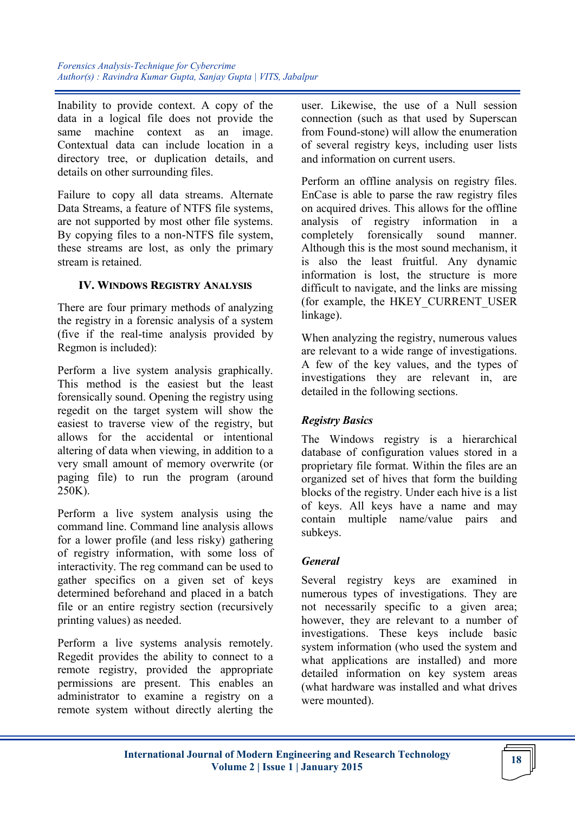Inability to provide context. A copy of the data in a logical file does not provide the same machine context as an image. Contextual data can include location in a directory tree, or duplication details, and details on other surrounding files.

Failure to copy all data streams. Alternate Data Streams, a feature of NTFS file systems, are not supported by most other file systems. By copying files to a non-NTFS file system, these streams are lost, as only the primary stream is retained.

### **IV. WINDOWS REGISTRY ANALYSIS**

There are four primary methods of analyzing the registry in a forensic analysis of a system (five if the real-time analysis provided by Regmon is included):

Perform a live system analysis graphically. This method is the easiest but the least forensically sound. Opening the registry using regedit on the target system will show the easiest to traverse view of the registry, but allows for the accidental or intentional altering of data when viewing, in addition to a very small amount of memory overwrite (or paging file) to run the program (around 250K).

Perform a live system analysis using the command line. Command line analysis allows for a lower profile (and less risky) gathering of registry information, with some loss of interactivity. The reg command can be used to gather specifics on a given set of keys determined beforehand and placed in a batch file or an entire registry section (recursively printing values) as needed.

Perform a live systems analysis remotely. Regedit provides the ability to connect to a remote registry, provided the appropriate permissions are present. This enables an administrator to examine a registry on a remote system without directly alerting the

user. Likewise, the use of a Null session connection (such as that used by Superscan from Found-stone) will allow the enumeration of several registry keys, including user lists and information on current users.

Perform an offline analysis on registry files. EnCase is able to parse the raw registry files on acquired drives. This allows for the offline analysis of registry information in a completely forensically sound manner. Although this is the most sound mechanism, it is also the least fruitful. Any dynamic information is lost, the structure is more difficult to navigate, and the links are missing (for example, the HKEY\_CURRENT\_USER linkage).

When analyzing the registry, numerous values are relevant to a wide range of investigations. A few of the key values, and the types of investigations they are relevant in, are detailed in the following sections.

## *Registry Basics*

The Windows registry is a hierarchical database of configuration values stored in a proprietary file format. Within the files are an organized set of hives that form the building blocks of the registry. Under each hive is a list of keys. All keys have a name and may contain multiple name/value pairs and subkeys.

### *General*

Several registry keys are examined in numerous types of investigations. They are not necessarily specific to a given area; however, they are relevant to a number of investigations. These keys include basic system information (who used the system and what applications are installed) and more detailed information on key system areas (what hardware was installed and what drives were mounted).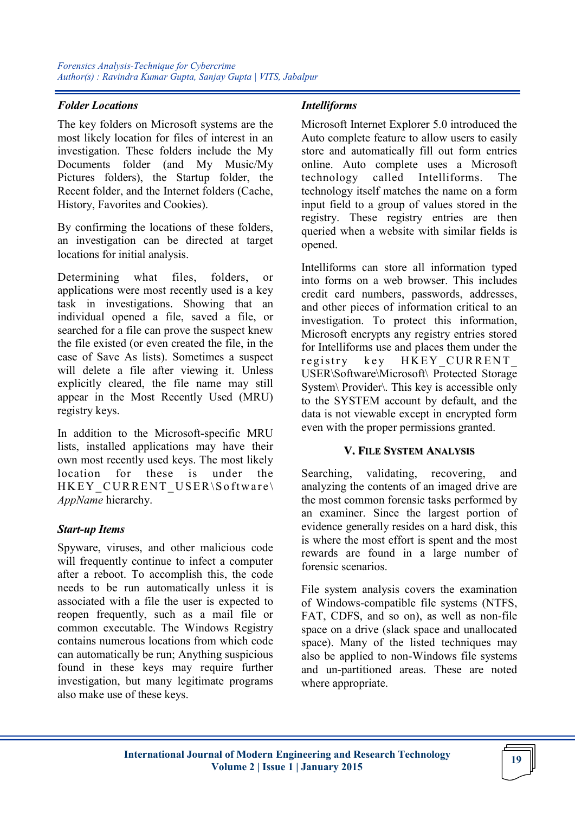#### *Folder Locations*

The key folders on Microsoft systems are the most likely location for files of interest in an investigation. These folders include the My Documents folder (and My Music/My Pictures folders), the Startup folder, the Recent folder, and the Internet folders (Cache, History, Favorites and Cookies).

By confirming the locations of these folders, an investigation can be directed at target locations for initial analysis.

Determining what files, folders, or applications were most recently used is a key task in investigations. Showing that an individual opened a file, saved a file, or searched for a file can prove the suspect knew the file existed (or even created the file, in the case of Save As lists). Sometimes a suspect will delete a file after viewing it. Unless explicitly cleared, the file name may still appear in the Most Recently Used (MRU) registry keys.

In addition to the Microsoft-specific MRU lists, installed applications may have their own most recently used keys. The most likely location for these is under the HKEY CURRENT USER\Software\ *AppName* hierarchy.

### *Start-up Items*

Spyware, viruses, and other malicious code will frequently continue to infect a computer after a reboot. To accomplish this, the code needs to be run automatically unless it is associated with a file the user is expected to reopen frequently, such as a mail file or common executable. The Windows Registry contains numerous locations from which code can automatically be run; Anything suspicious found in these keys may require further investigation, but many legitimate programs also make use of these keys.

### *Intelliforms*

Microsoft Internet Explorer 5.0 introduced the Auto complete feature to allow users to easily store and automatically fill out form entries online. Auto complete uses a Microsoft technology called Intelliforms. The technology itself matches the name on a form input field to a group of values stored in the registry. These registry entries are then queried when a website with similar fields is opened.

Intelliforms can store all information typed into forms on a web browser. This includes credit card numbers, passwords, addresses, and other pieces of information critical to an investigation. To protect this information, Microsoft encrypts any registry entries stored for Intelliforms use and places them under the registry key HKEY CURRENT USER\Software\Microsoft\ Protected Storage System\ Provider\. This key is accessible only to the SYSTEM account by default, and the data is not viewable except in encrypted form even with the proper permissions granted.

#### **V. FILE SYSTEM ANALYSIS**

Searching, validating, recovering, and analyzing the contents of an imaged drive are the most common forensic tasks performed by an examiner. Since the largest portion of evidence generally resides on a hard disk, this is where the most effort is spent and the most rewards are found in a large number of forensic scenarios.

File system analysis covers the examination of Windows-compatible file systems (NTFS, FAT, CDFS, and so on), as well as non-file space on a drive (slack space and unallocated space). Many of the listed techniques may also be applied to non-Windows file systems and un-partitioned areas. These are noted where appropriate.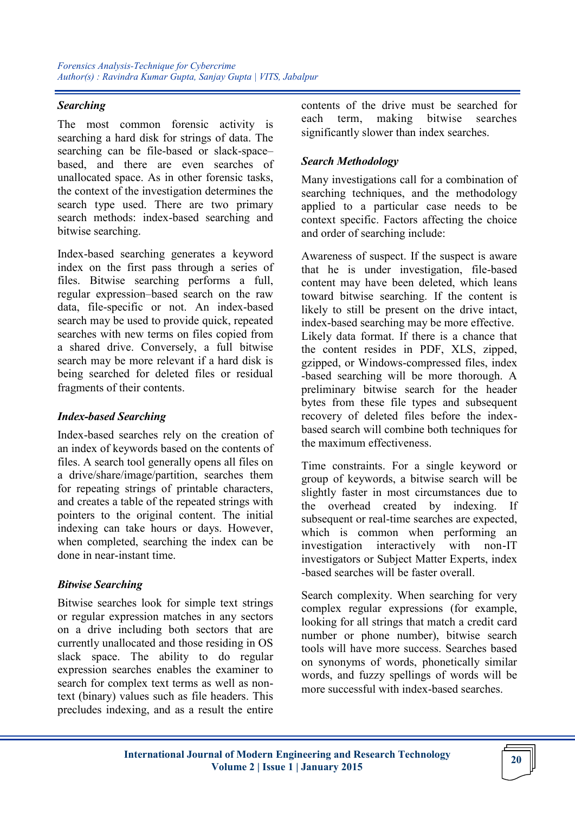### *Searching*

The most common forensic activity is searching a hard disk for strings of data. The searching can be file-based or slack-space– based, and there are even searches of unallocated space. As in other forensic tasks, the context of the investigation determines the search type used. There are two primary search methods: index-based searching and bitwise searching.

Index-based searching generates a keyword index on the first pass through a series of files. Bitwise searching performs a full, regular expression–based search on the raw data, file-specific or not. An index-based search may be used to provide quick, repeated searches with new terms on files copied from a shared drive. Conversely, a full bitwise search may be more relevant if a hard disk is being searched for deleted files or residual fragments of their contents.

### *Index-based Searching*

Index-based searches rely on the creation of an index of keywords based on the contents of files. A search tool generally opens all files on a drive/share/image/partition, searches them for repeating strings of printable characters, and creates a table of the repeated strings with pointers to the original content. The initial indexing can take hours or days. However, when completed, searching the index can be done in near-instant time.

### *Bitwise Searching*

Bitwise searches look for simple text strings or regular expression matches in any sectors on a drive including both sectors that are currently unallocated and those residing in OS slack space. The ability to do regular expression searches enables the examiner to search for complex text terms as well as nontext (binary) values such as file headers. This precludes indexing, and as a result the entire

contents of the drive must be searched for each term, making bitwise searches significantly slower than index searches.

## *Search Methodology*

Many investigations call for a combination of searching techniques, and the methodology applied to a particular case needs to be context specific. Factors affecting the choice and order of searching include:

Awareness of suspect. If the suspect is aware that he is under investigation, file-based content may have been deleted, which leans toward bitwise searching. If the content is likely to still be present on the drive intact, index-based searching may be more effective. Likely data format. If there is a chance that the content resides in PDF, XLS, zipped, gzipped, or Windows-compressed files, index -based searching will be more thorough. A preliminary bitwise search for the header bytes from these file types and subsequent recovery of deleted files before the indexbased search will combine both techniques for the maximum effectiveness.

Time constraints. For a single keyword or group of keywords, a bitwise search will be slightly faster in most circumstances due to the overhead created by indexing. If subsequent or real-time searches are expected, which is common when performing an investigation interactively with non-IT investigators or Subject Matter Experts, index -based searches will be faster overall.

Search complexity. When searching for very complex regular expressions (for example, looking for all strings that match a credit card number or phone number), bitwise search tools will have more success. Searches based on synonyms of words, phonetically similar words, and fuzzy spellings of words will be more successful with index-based searches.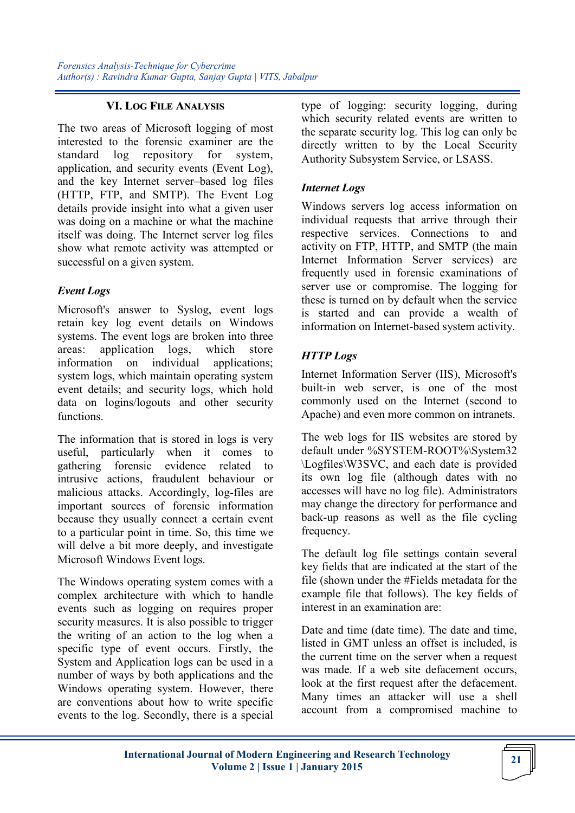### **VI. LOG FILE ANALYSIS**

The two areas of Microsoft logging of most interested to the forensic examiner are the standard log repository for system, application, and security events (Event Log), and the key Internet server–based log files (HTTP, FTP, and SMTP). The Event Log details provide insight into what a given user was doing on a machine or what the machine itself was doing. The Internet server log files show what remote activity was attempted or successful on a given system.

### *Event Logs*

Microsoft's answer to Syslog, event logs retain key log event details on Windows systems. The event logs are broken into three areas: application logs, which store information on individual applications; system logs, which maintain operating system event details; and security logs, which hold data on logins/logouts and other security functions.

The information that is stored in logs is very useful, particularly when it comes to gathering forensic evidence related to intrusive actions, fraudulent behaviour or malicious attacks. Accordingly, log-files are important sources of forensic information because they usually connect a certain event to a particular point in time. So, this time we will delve a bit more deeply, and investigate Microsoft Windows Event logs.

The Windows operating system comes with a complex architecture with which to handle events such as logging on requires proper security measures. It is also possible to trigger the writing of an action to the log when a specific type of event occurs. Firstly, the System and Application logs can be used in a number of ways by both applications and the Windows operating system. However, there are conventions about how to write specific events to the log. Secondly, there is a special

type of logging: security logging, during which security related events are written to the separate security log. This log can only be directly written to by the Local Security Authority Subsystem Service, or LSASS.

## *Internet Logs*

Windows servers log access information on individual requests that arrive through their respective services. Connections to and activity on FTP, HTTP, and SMTP (the main Internet Information Server services) are frequently used in forensic examinations of server use or compromise. The logging for these is turned on by default when the service is started and can provide a wealth of information on Internet-based system activity.

## *HTTP Logs*

Internet Information Server (IIS), Microsoft's built-in web server, is one of the most commonly used on the Internet (second to Apache) and even more common on intranets.

The web logs for IIS websites are stored by default under %SYSTEM-ROOT%\System32 \Logfiles\W3SVC, and each date is provided its own log file (although dates with no accesses will have no log file). Administrators may change the directory for performance and back-up reasons as well as the file cycling frequency.

The default log file settings contain several key fields that are indicated at the start of the file (shown under the #Fields metadata for the example file that follows). The key fields of interest in an examination are:

Date and time (date time). The date and time, listed in GMT unless an offset is included, is the current time on the server when a request was made. If a web site defacement occurs, look at the first request after the defacement. Many times an attacker will use a shell account from a compromised machine to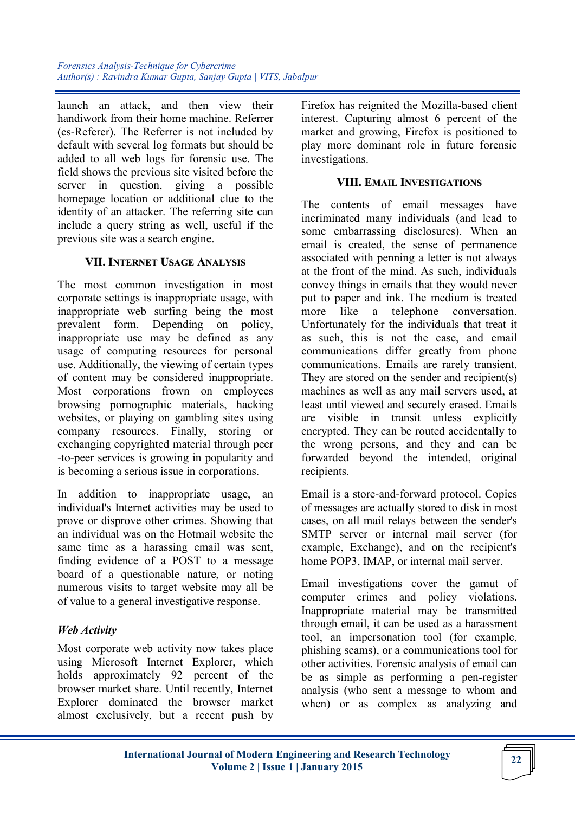*Forensics Analysis-Technique for Cybercrime Author(s) : Ravindra Kumar Gupta, Sanjay Gupta | VITS, Jabalpur*

launch an attack, and then view their handiwork from their home machine. Referrer (cs-Referer). The Referrer is not included by default with several log formats but should be added to all web logs for forensic use. The field shows the previous site visited before the server in question, giving a possible homepage location or additional clue to the identity of an attacker. The referring site can include a query string as well, useful if the previous site was a search engine.

#### **VII. INTERNET USAGE ANALYSIS**

The most common investigation in most corporate settings is inappropriate usage, with inappropriate web surfing being the most prevalent form. Depending on policy, inappropriate use may be defined as any usage of computing resources for personal use. Additionally, the viewing of certain types of content may be considered inappropriate. Most corporations frown on employees browsing pornographic materials, hacking websites, or playing on gambling sites using company resources. Finally, storing or exchanging copyrighted material through peer -to-peer services is growing in popularity and is becoming a serious issue in corporations.

In addition to inappropriate usage, an individual's Internet activities may be used to prove or disprove other crimes. Showing that an individual was on the Hotmail website the same time as a harassing email was sent, finding evidence of a POST to a message board of a questionable nature, or noting numerous visits to target website may all be of value to a general investigative response.

### *Web Activity*

Most corporate web activity now takes place using Microsoft Internet Explorer, which holds approximately 92 percent of the browser market share. Until recently, Internet Explorer dominated the browser market almost exclusively, but a recent push by

Firefox has reignited the Mozilla-based client interest. Capturing almost 6 percent of the market and growing, Firefox is positioned to play more dominant role in future forensic investigations.

#### **VIII. EMAIL INVESTIGATIONS**

The contents of email messages have incriminated many individuals (and lead to some embarrassing disclosures). When an email is created, the sense of permanence associated with penning a letter is not always at the front of the mind. As such, individuals convey things in emails that they would never put to paper and ink. The medium is treated more like a telephone conversation. Unfortunately for the individuals that treat it as such, this is not the case, and email communications differ greatly from phone communications. Emails are rarely transient. They are stored on the sender and recipient(s) machines as well as any mail servers used, at least until viewed and securely erased. Emails are visible in transit unless explicitly encrypted. They can be routed accidentally to the wrong persons, and they and can be forwarded beyond the intended, original recipients.

Email is a store-and-forward protocol. Copies of messages are actually stored to disk in most cases, on all mail relays between the sender's SMTP server or internal mail server (for example, Exchange), and on the recipient's home POP3, IMAP, or internal mail server.

Email investigations cover the gamut of computer crimes and policy violations. Inappropriate material may be transmitted through email, it can be used as a harassment tool, an impersonation tool (for example, phishing scams), or a communications tool for other activities. Forensic analysis of email can be as simple as performing a pen-register analysis (who sent a message to whom and when) or as complex as analyzing and